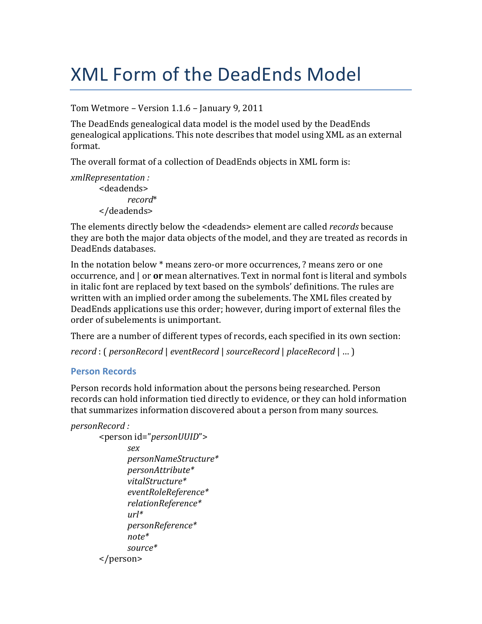# **XML Form of the DeadEnds Model**

Tom Wetmore - Version 1.1.6 - January 9, 2011

The DeadEnds genealogical data model is the model used by the DeadEnds genealogical applications. This note describes that model using XML as an external format.

The overall format of a collection of DeadEnds objects in XML form is:

*xmlRepresentation:* <deadends>  $record*$ </deadends>

The elements directly below the <deadends> element are called *records* because they are both the major data objects of the model, and they are treated as records in DeadEnds databases.

In the notation below \* means zero-or more occurrences, ? means zero or one occurrence, and | or or mean alternatives. Text in normal font is literal and symbols in italic font are replaced by text based on the symbols' definitions. The rules are written with an implied order among the subelements. The XML files created by DeadEnds applications use this order; however, during import of external files the order of subelements is unimportant.

There are a number of different types of records, each specified in its own section: record: (personRecord | eventRecord | sourceRecord | placeRecord | ...)

#### **Person Records**

Person records hold information about the persons being researched. Person records can hold information tied directly to evidence, or they can hold information that summarizes information discovered about a person from many sources.

```
personRecord:
```

```
<person id="personUUID">
      sex
      personNameStructure*
      personAttribute*
      vitalStructure*
      eventRoleReference*
      relationReference*
      url*personReference*
      note*source*</person>
```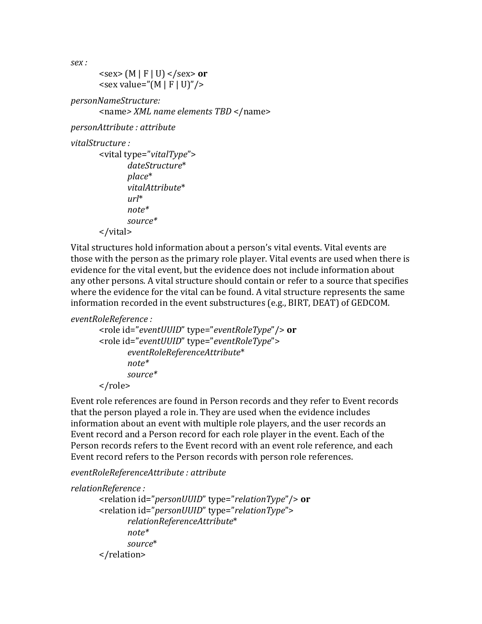$sex:$ 

```
<sex> (M | F | U) </sex> or
<sex value="(M | F | U)"/>
```
personNameStructure:

<name> XML name elements TBD </name>

personAttribute: attribute

vitalStructure:

```
<vital type="vitalType">
        dateStructure*
        place*vitalAttribute*
        nrl^*note*source*
\langle \text{vital} \rangle
```
Vital structures hold information about a person's vital events. Vital events are those with the person as the primary role player. Vital events are used when there is evidence for the vital event, but the evidence does not include information about any other persons. A vital structure should contain or refer to a source that specifies where the evidence for the vital can be found. A vital structure represents the same information recorded in the event substructures (e.g., BIRT, DEAT) of GEDCOM.

eventRoleReference:

```
<role id="eventUUID" type="eventRoleType"/> or
<role id="eventUUID" type="eventRoleType">
      eventRoleReferenceAttribute*
      note*source*</role>
```
Event role references are found in Person records and they refer to Event records that the person played a role in. They are used when the evidence includes information about an event with multiple role players, and the user records an Event record and a Person record for each role player in the event. Each of the Person records refers to the Event record with an event role reference, and each Event record refers to the Person records with person role references.

eventRoleReferenceAttribute : attribute

```
relationReference:
      <relation id="personUUID" type="relationType"/> or
      <relation id="personUUID" type="relationType">
             relationReferenceAttribute*
             note*source*</relation>
```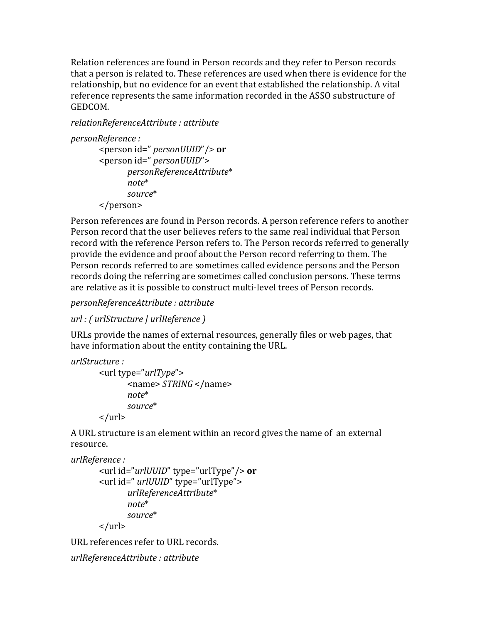Relation references are found in Person records and they refer to Person records that a person is related to. These references are used when there is evidence for the relationship, but no evidence for an event that established the relationship. A vital reference represents the same information recorded in the ASSO substructure of GEDCOM.

relationReferenceAttribute: attribute

```
personReference :
```

```
<person id=" personUUID"/> or
<person id=" personUUID">
      personReferenceAttribute*
      note*source*</person>
```
Person references are found in Person records. A person reference refers to another Person record that the user believes refers to the same real individual that Person record with the reference Person refers to. The Person records referred to generally provide the evidence and proof about the Person record referring to them. The Person records referred to are sometimes called evidence persons and the Person records doing the referring are sometimes called conclusion persons. These terms are relative as it is possible to construct multi-level trees of Person records.

personReferenceAttribute: attribute

```
url : (urlStructure | urlReference)
```
URLs provide the names of external resources, generally files or web pages, that have information about the entity containing the URL.

```
urlStructure:
```

```
\langle -vurl type="urlType">
         \epsilonname> STRING \epsilon/name>
         note*source*\langle/url\rangle
```
A URL structure is an element within an record gives the name of an external resource.

```
urlReference:
```

```
<url id="urlUUID" type="urlType"/> or
<url id=" urlUUID" type="urlType">
       urlReferenceAttribute*
       note*source*
\langle \text{url} \rangle
```
URL references refer to URL records.

```
urlReferenceAttribute : attribute
```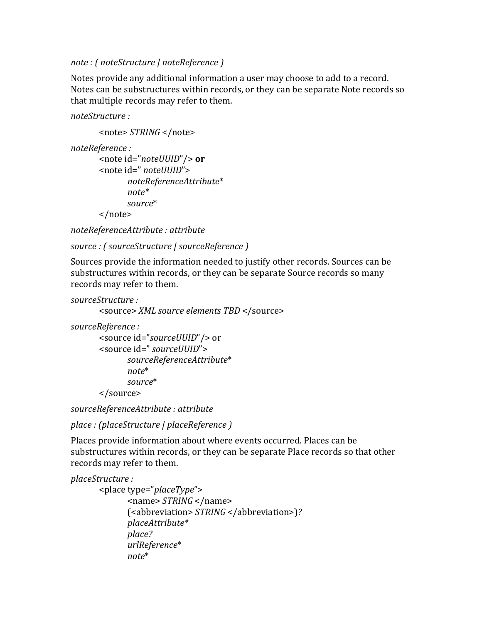*note.:.(.noteStructure.|.noteReference.)*

Notes provide any additional information a user may choose to add to a record. Notes can be substructures within records, or they can be separate Note records so that multiple records may refer to them.

*noteStructure.:*

```
<note>$STRING$</note>
```

```
noteReference.:
```

```
<note$id="noteUUID"/> or
<note$id=".noteUUID">
      noteReferenceAttribute*
      note*
      source*
</note>
```
*noteReferenceAttribute.:.attribute*

```
source.:.(.sourceStructure.|.sourceReference.)
```
Sources provide the information needed to justify other records. Sources can be substructures within records, or they can be separate Source records so many records may refer to them.

```
sourceStructure.:
```
<source> *XML* source elements TBD </source>

*sourceReference.:*

```
<source id="sourceUUID"/> or
<source$id=".sourceUUID">
      sourceReferenceAttribute*
      note*
      source*
</source>
```
*sourceReferenceAttribute.:.attribute*

```
place.:.(placeStructure.|.placeReference.)
```
Places provide information about where events occurred. Places can be substructures within records, or they can be separate Place records so that other records may refer to them.

```
placeStructure.:
      <place$type="placeType">
             <name>$STRING$</name>
             (<abbreviation>$STRING$</abbreviation>)?
             placeAttribute*
             place?
             urlReference*
             note*
```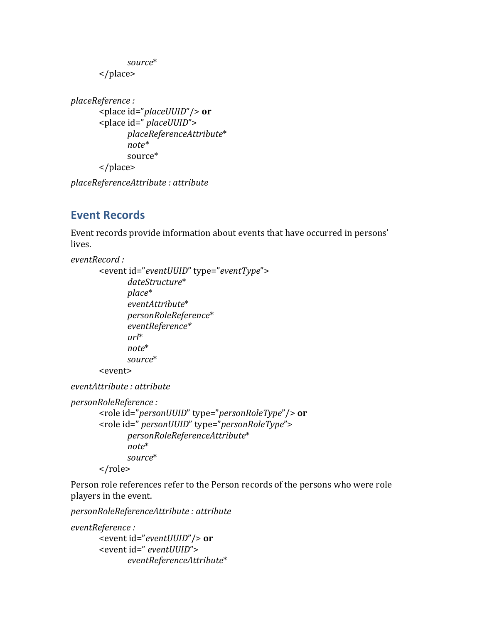```
source*
</place>
```

```
placeReference.:
      <place$id="placeUUID"/>$or
      <place$id=".placeUUID">
             placeReferenceAttribute*
             note*
             source*
      </place>
```
*placeReferenceAttribute.:.attribute*

# **Event Records**

Event records provide information about events that have occurred in persons' lives.

```
eventRecord.:
```

```
<event id="eventUUID" type="eventType">
      dateStructure*
      place*
      eventAttribute*
      personRoleReference*
      eventReference*
      url*
      note*
      source*
<event>
```
*eventAttribute.:.attribute*

```
personRoleReference.:
```

```
<role$id="personUUID"$type="personRoleType"/>$or
<role$id=".personUUID"$type="personRoleType">
      personRoleReferenceAttribute*
      note*
      source*
</role>
```
Person role references refer to the Person records of the persons who were role players in the event.

*personRoleReferenceAttribute.:.attribute*

```
eventReference.:
```

```
<event$id="eventUUID"/>$or
<event id=" eventUUID">
      eventReferenceAttribute*
```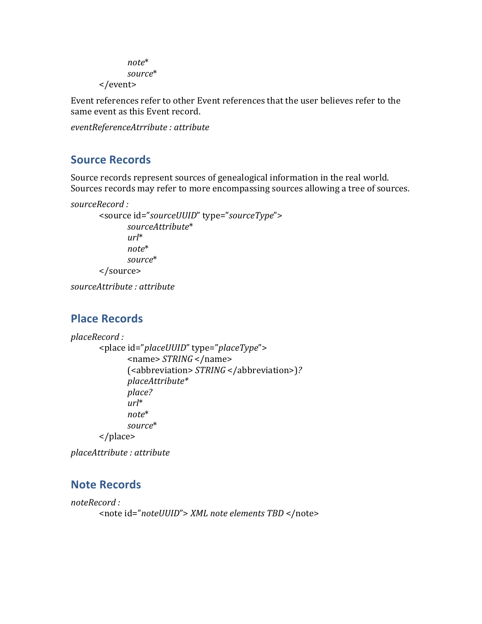```
note*
      source*
</event>
```
Event references refer to other Event references that the user believes refer to the same event as this Event record.

*eventReferenceAtrribute.:.attribute*

### **Source Records**

Source records represent sources of genealogical information in the real world. Sources records may refer to more encompassing sources allowing a tree of sources.

```
sourceRecord.:
```

```
<source$id="sourceUUID"$type="sourceType">
      sourceAttribute*
      url*
      note*
      source*
</source>
```
*sourceAttribute.:.attribute*

#### **Place'Records**

```
placeRecord.:
      <place$id="placeUUID"$type="placeType">
             <name>$STRING$</name>
             (<abbreviation>$STRING$</abbreviation>)?
             placeAttribute*
             place?
             url*
             note*
             source*
      </place>
```
*placeAttribute.:.attribute*

#### **Note Records**

```
noteRecord.:
      <note id="noteUUID"> XML note elements TBD </note>
```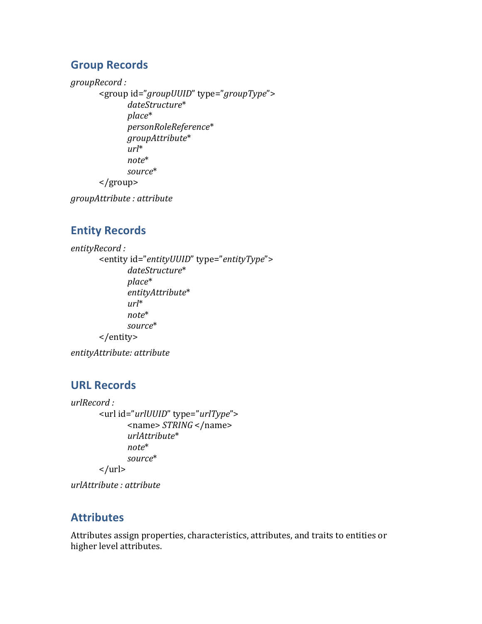### **Group'Records**

*groupRecord.:*

<group id="groupUUID" type="groupType"> *dateStructure*\* *place*\* *personRoleReference*\* *groupAttribute*\* *url*\* *note*\* *source*\* </group>

*groupAttribute.:.attribute*

# **Entity Records**

```
entityRecord.:
       <entity id="entityUUID" type="entityType">
             dateStructure*
             place*
              entityAttribute*
              url*
              note*
             source*
       </entity>
```
*entityAttribute:.attribute*

## **URL'Records**

*urlRecord.:* <url\$id="*urlUUID*"\$type="*urlType*"> <name>\$*STRING*\$</name> *urlAttribute*\* *note*\* *source*\*  $\langle \text{url} \rangle$ 

*urlAttribute.:.attribute*

#### **Attributes**

Attributes assign properties, characteristics, attributes, and traits to entities or higher level attributes.